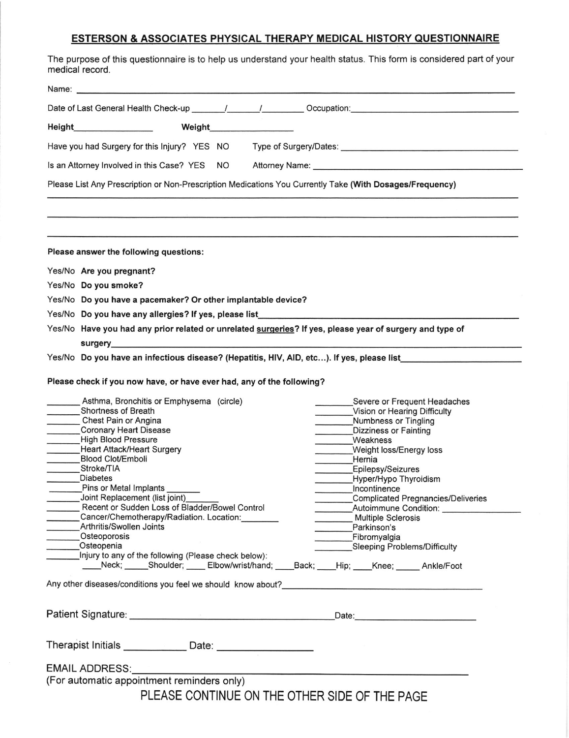| The purpose of this questionnaire is to help us understand your health status. This form is considered part of your<br>medical record.                                   |  |                                                                                                                 |
|--------------------------------------------------------------------------------------------------------------------------------------------------------------------------|--|-----------------------------------------------------------------------------------------------------------------|
|                                                                                                                                                                          |  |                                                                                                                 |
|                                                                                                                                                                          |  |                                                                                                                 |
|                                                                                                                                                                          |  |                                                                                                                 |
|                                                                                                                                                                          |  |                                                                                                                 |
|                                                                                                                                                                          |  |                                                                                                                 |
|                                                                                                                                                                          |  | Please List Any Prescription or Non-Prescription Medications You Currently Take (With Dosages/Frequency)        |
|                                                                                                                                                                          |  |                                                                                                                 |
| Please answer the following questions:                                                                                                                                   |  |                                                                                                                 |
| Yes/No Are you pregnant?                                                                                                                                                 |  |                                                                                                                 |
| Yes/No Do you smoke?                                                                                                                                                     |  |                                                                                                                 |
| Yes/No Do you have a pacemaker? Or other implantable device?                                                                                                             |  |                                                                                                                 |
|                                                                                                                                                                          |  | Yes/No Do you have any allergies? If yes, please list___________________________                                |
|                                                                                                                                                                          |  | Yes/No Have you had any prior related or unrelated surgeries? If yes, please year of surgery and type of        |
|                                                                                                                                                                          |  | surgery and the contract of the contract of the contract of the contract of the contract of the contract of the |
|                                                                                                                                                                          |  | Yes/No Do you have an infectious disease? (Hepatitis, HIV, AID, etc). If yes, please list                       |
| Please check if you now have, or have ever had, any of the following?                                                                                                    |  |                                                                                                                 |
| Asthma, Bronchitis or Emphysema (circle)                                                                                                                                 |  | Severe or Frequent Headaches                                                                                    |
| Shortness of Breath                                                                                                                                                      |  | Vision or Hearing Difficulty                                                                                    |
| Chest Pain or Angina                                                                                                                                                     |  | Numbness or Tingling                                                                                            |
| <b>Coronary Heart Disease</b>                                                                                                                                            |  | <b>Dizziness or Fainting</b>                                                                                    |
| High Blood Pressure                                                                                                                                                      |  | Weakness                                                                                                        |
| Heart Attack/Heart Surgery                                                                                                                                               |  | Weight loss/Energy loss                                                                                         |
| <b>Blood Clot/Emboli</b><br>Stroke/TIA                                                                                                                                   |  | Hernia                                                                                                          |
| <b>Diabetes</b>                                                                                                                                                          |  | Epilepsy/Seizures<br>Hyper/Hypo Thyroidism                                                                      |
| _________Pins or Metal Implants _______                                                                                                                                  |  | <b>Carl Company</b><br>Incontinence                                                                             |
|                                                                                                                                                                          |  | Complicated Pregnancies/Deliveries                                                                              |
|                                                                                                                                                                          |  | Autoimmune Condition:                                                                                           |
|                                                                                                                                                                          |  | Multiple Sclerosis                                                                                              |
|                                                                                                                                                                          |  | Parkinson's                                                                                                     |
|                                                                                                                                                                          |  |                                                                                                                 |
|                                                                                                                                                                          |  | Fibromyalgia                                                                                                    |
| Osteopenia                                                                                                                                                               |  | Sleeping Problems/Difficulty                                                                                    |
| Injury to any of the following (Please check below):                                                                                                                     |  | Neck; _____Shoulder; _____ Elbow/wrist/hand; ____Back; ____Hip; ____Knee; _____ Ankle/Foot                      |
| Joint Replacement (list joint)<br>Recent or Sudden Loss of Bladder/Bowel Control<br>Cancer/Chemotherapy/Radiation. Location:<br>Arthritis/Swollen Joints<br>Osteoporosis |  |                                                                                                                 |

EMAIL ADDRESS:\_\_\_\_\_\_\_\_\_

(For automatic appointment reminders only)

Therapist Initials \_\_\_\_\_\_\_\_\_\_\_\_ Date

PLEASE CONTINUE ON THE OTHER SIDE OF THE PAGE